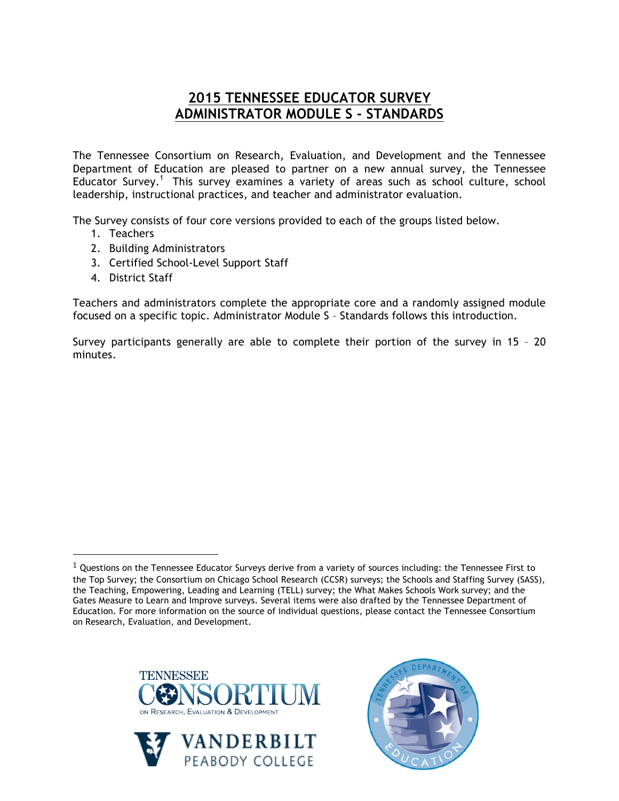## **2015 TENNESSEE EDUCATOR SURVEY ADMINISTRATOR MODULE S - STANDARDS**

The Tennessee Consortium on Research, Evaluation, and Development and the Tennessee Department of Education are pleased to partner on a new annual survey, the Tennessee Educator Survey.<sup>1</sup> This survey examines a variety of areas such as school culture, school leadership, instructional practices, and teacher and administrator evaluation.

The Survey consists of four core versions provided to each of the groups listed below.

- 1. Teachers
- 2. Building Administrators
- 3. Certified School-Level Support Staff
- 4. District Staff

!!!!!!!!!!!!!!!!!!!!!!!!!!!!!!!!!!!!!!!!!!!!!!!!!!!!!!!

Teachers and administrators complete the appropriate core and a randomly assigned module focused on a specific topic. Administrator Module S – Standards follows this introduction.

Survey participants generally are able to complete their portion of the survey in 15 – 20 minutes.

 $1$  Questions on the Tennessee Educator Surveys derive from a variety of sources including: the Tennessee First to the Top Survey; the Consortium on Chicago School Research (CCSR) surveys; the Schools and Staffing Survey (SASS), the Teaching, Empowering, Leading and Learning (TELL) survey; the What Makes Schools Work survey; and the Gates Measure to Learn and Improve surveys. Several items were also drafted by the Tennessee Department of Education. For more information on the source of individual questions, please contact the Tennessee Consortium on Research, Evaluation, and Development.





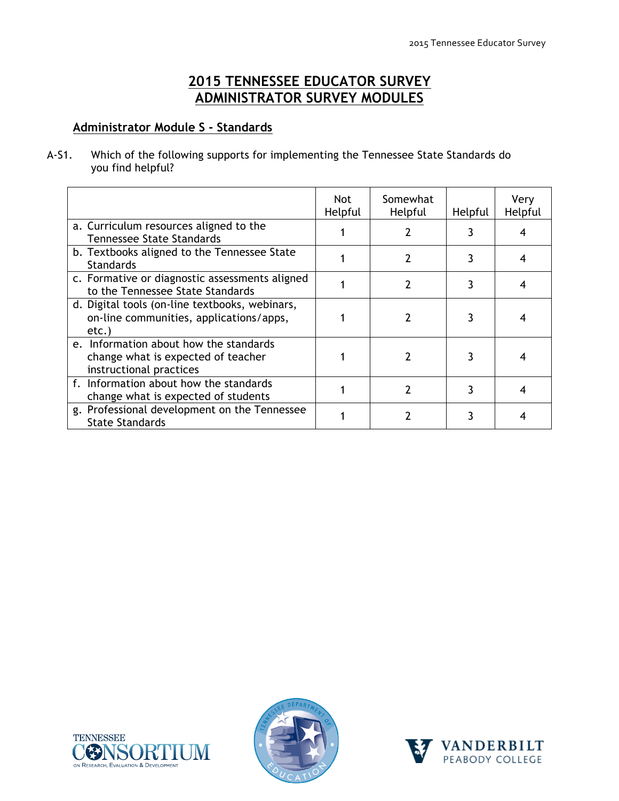## **2015 TENNESSEE EDUCATOR SURVEY ADMINISTRATOR SURVEY MODULES**

## **Administrator Module S - Standards**

A-S1. Which of the following supports for implementing the Tennessee State Standards do you find helpful?

|                                                                                                         | Not<br>Helpful | Somewhat<br>Helpful | Helpful | Very<br>Helpful |
|---------------------------------------------------------------------------------------------------------|----------------|---------------------|---------|-----------------|
| a. Curriculum resources aligned to the<br><b>Tennessee State Standards</b>                              |                |                     |         |                 |
| b. Textbooks aligned to the Tennessee State<br><b>Standards</b>                                         |                | 2                   |         |                 |
| c. Formative or diagnostic assessments aligned<br>to the Tennessee State Standards                      |                | 2                   |         |                 |
| d. Digital tools (on-line textbooks, webinars,<br>on-line communities, applications/apps,<br>etc.       |                |                     |         |                 |
| e. Information about how the standards<br>change what is expected of teacher<br>instructional practices |                |                     |         |                 |
| f. Information about how the standards<br>change what is expected of students                           |                |                     |         |                 |
| g. Professional development on the Tennessee<br><b>State Standards</b>                                  |                |                     |         |                 |